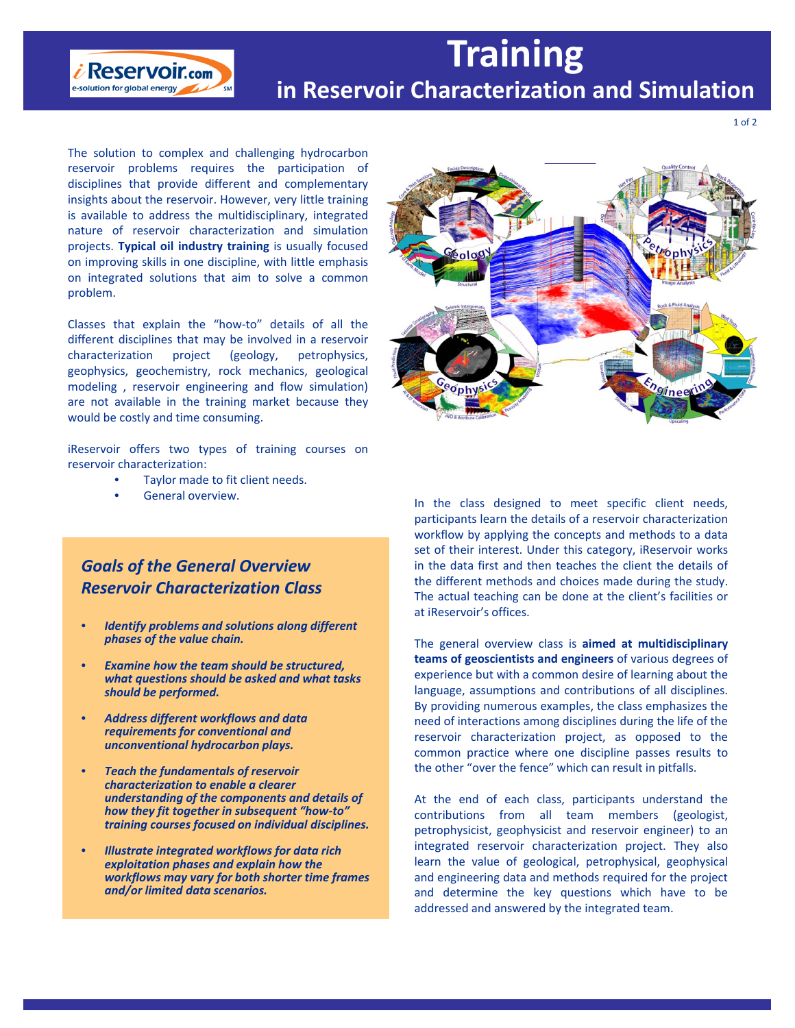# **Training in Reservoir Characterization and Simulation**

The solution to complex and challenging hydrocarbon reservoir problems requires the participation of disciplines that provide different and complementary insights about the reservoir. However, very little training is available to address the multidisciplinary, integrated nature of reservoir characterization and simulation projects. **Typical oil industry training** is usually focused on improving skills in one discipline, with little emphasis on integrated solutions that aim to solve a common problem.

 $i$  Reservoir.com e-solution for global energy

Classes that explain the "how‐to" details of all the different disciplines that may be involved in a reservoir characterization project (geology, petrophysics, geophysics, geochemistry, rock mechanics, geological modeling , reservoir engineering and flow simulation) are not available in the training market because they would be costly and time consuming.

iReservoir offers two types of training courses on reservoir characterization:

- Taylor made to fit client needs.
- 

## *Goals of the General Overview Reservoir Characterization Class*

- *Identify problems and solutions along different phases of the value chain.*
- *Examine how the team should be structured, what questions should be asked and what tasks should be performed.*
- *Address different workflows and data requirements for conventional and unconventional hydrocarbon plays.*
- *Teach the fundamentals of reservoir characterization to enable a clearer understanding of the components and details of how they fit together in subsequent "how‐to" training courses focused on individual disciplines.*
- *Illustrate integrated workflows for data rich exploitation phases and explain how the workflows may vary for both shorter time frames and/or limited data scenarios.*



General overview.<br>
In the class designed to meet specific client needs, participants learn the details of a reservoir characterization workflow by applying the concepts and methods to a data set of their interest. Under this category, iReservoir works in the data first and then teaches the client the details of the different methods and choices made during the study. The actual teaching can be done at the client's facilities or at iReservoir's offices.

> The general overview class is **aimed at multidisciplinary teams of geoscientists and engineers** of various degrees of experience but with a common desire of learning about the language, assumptions and contributions of all disciplines. By providing numerous examples, the class emphasizes the need of interactions among disciplines during the life of the reservoir characterization project, as opposed to the common practice where one discipline passes results to the other "over the fence" which can result in pitfalls.

> At the end of each class, participants understand the contributions from all team members (geologist, petrophysicist, geophysicist and reservoir engineer) to an integrated reservoir characterization project. They also learn the value of geological, petrophysical, geophysical and engineering data and methods required for the project and determine the key questions which have to be addressed and answered by the integrated team.

1 of 2